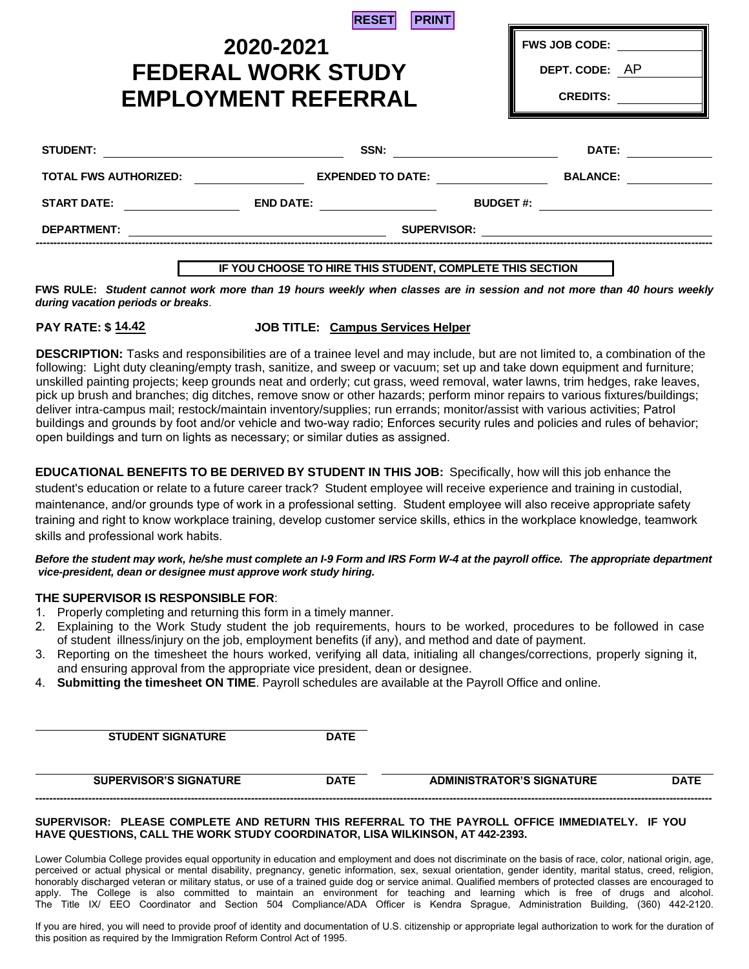| <b>RESET</b> |  | <b>PRINT</b> |
|--------------|--|--------------|
|--------------|--|--------------|

# **FEDERAL WORK STUDY EMPLOYMENT REFERRAL 2020-2021**

| <b>FWS JOB CODE:</b> |  |
|----------------------|--|
| DEPT. CODE: AP       |  |

**CREDITS:**

| <b>STUDENT:</b>              | SSN:                     |                  | DATE:           |
|------------------------------|--------------------------|------------------|-----------------|
| <b>TOTAL FWS AUTHORIZED:</b> | <b>EXPENDED TO DATE:</b> |                  | <b>BALANCE:</b> |
| <b>START DATE:</b>           | <b>END DATE:</b>         | <b>BUDGET #:</b> |                 |
| <b>DEPARTMENT:</b>           | <b>SUPERVISOR:</b>       |                  |                 |
|                              |                          |                  |                 |

# **IF YOU CHOOSE TO HIRE THIS STUDENT, COMPLETE THIS SECTION**

**FWS RULE:** *Student cannot work more than 19 hours weekly when classes are in session and not more than 40 hours weekly during vacation periods or breaks*.

# **14.42 14.42**

**JOB TITLE: Campus Services Helper** 

**DESCRIPTION:** Tasks and responsibilities are of a trainee level and may include, but are not limited to, a combination of the following: Light duty cleaning/empty trash, sanitize, and sweep or vacuum; set up and take down equipment and furniture; unskilled painting projects; keep grounds neat and orderly; cut grass, weed removal, water lawns, trim hedges, rake leaves, pick up brush and branches; dig ditches, remove snow or other hazards; perform minor repairs to various fixtures/buildings; deliver intra-campus mail; restock/maintain inventory/supplies; run errands; monitor/assist with various activities; Patrol buildings and grounds by foot and/or vehicle and two-way radio; Enforces security rules and policies and rules of behavior; open buildings and turn on lights as necessary; or similar duties as assigned.

**EDUCATIONAL BENEFITS TO BE DERIVED BY STUDENT IN THIS JOB:** Specifically, how will this job enhance the student's education or relate to a future career track? Student employee will receive experience and training in custodial, maintenance, and/or grounds type of work in a professional setting. Student employee will also receive appropriate safety training and right to know workplace training, develop customer service skills, ethics in the workplace knowledge, teamwork skills and professional work habits.

#### *Before the student may work, he/she must complete an I-9 Form and IRS Form W-4 at the payroll office. The appropriate department vice-president, dean or designee must approve work study hiring.*

# **THE SUPERVISOR IS RESPONSIBLE FOR**:

- 1. Properly completing and returning this form in a timely manner.
- 2. Explaining to the Work Study student the job requirements, hours to be worked, procedures to be followed in case of student illness/injury on the job, employment benefits (if any), and method and date of payment.
- 3. Reporting on the timesheet the hours worked, verifying all data, initialing all changes/corrections, properly signing it, and ensuring approval from the appropriate vice president, dean or designee.
- 4. **Submitting the timesheet ON TIME**. Payroll schedules are available at the Payroll Office and online.

**STUDENT SIGNATURE DATE**

| <b>FRVISOR'S SIGNAT</b><br>""""<br>UKE | <b>DATE</b> | <b>TURE</b><br>TOR'S SIGNA <sup>-</sup><br><b>ADMINIST</b><br>'TRA. |  |
|----------------------------------------|-------------|---------------------------------------------------------------------|--|
|                                        |             |                                                                     |  |

#### **SUPERVISOR: PLEASE COMPLETE AND RETURN THIS REFERRAL TO THE PAYROLL OFFICE IMMEDIATELY. IF YOU HAVE QUESTIONS, CALL THE WORK STUDY COORDINATOR, LISA WILKINSON, AT 442-2393.**

Lower Columbia College provides equal opportunity in education and employment and does not discriminate on the basis of race, color, national origin, age, perceived or actual physical or mental disability, pregnancy, genetic information, sex, sexual orientation, gender identity, marital status, creed, religion, honorably discharged veteran or military status, or use of a trained guide dog or service animal. Qualified members of protected classes are encouraged to apply. The College is also committed to maintain an environment for teaching and learning which is free of drugs and alcohol. The Title IX/ EEO Coordinator and Section 504 Compliance/ADA Officer is Kendra Sprague, Administration Building, (360) 442-2120.

If you are hired, you will need to provide proof of identity and documentation of U.S. citizenship or appropriate legal authorization to work for the duration of this position as required by the Immigration Reform Control Act of 1995.